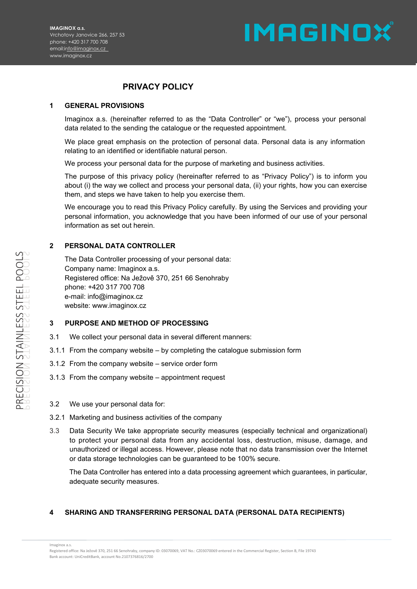# **IMAGINOX**

# **PRIVACY POLICY**

#### **1 GENERAL PROVISIONS**

Imaginox a.s. (hereinafter referred to as the "Data Controller" or "we"), process your personal data related to the sending the catalogue or the requested appointment.

We place great emphasis on the protection of personal data. Personal data is any information relating to an identified or identifiable natural person.

We process your personal data for the purpose of marketing and business activities.

The purpose of this privacy policy (hereinafter referred to as "Privacy Policy") is to inform you about (i) the way we collect and process your personal data, (ii) your rights, how you can exercise them, and steps we have taken to help you exercise them.

We encourage you to read this Privacy Policy carefully. By using the Services and providing your personal information, you acknowledge that you have been informed of our use of your personal information as set out herein.

#### **2 PERSONAL DATA CONTROLLER**

The Data Controller processing of your personal data: Company name: Imaginox a.s. Registered office: Na Ježově 370, 251 66 Senohraby phone: +420 317 700 708 e-mail: info@imaginox.cz website: www.imaginox.cz

#### **3 PURPOSE AND METHOD OF PROCESSING**

- 3.1 We collect your personal data in several different manners:
- 3.1.1 From the company website by completing the catalogue submission form
- 3.1.2 From the company website service order form
- 3.1.3 From the company website appointment request

#### 3.2 We use your personal data for:

- 3.2.1 Marketing and business activities of the company
- 3.3 Data Security We take appropriate security measures (especially technical and organizational) to protect your personal data from any accidental loss, destruction, misuse, damage, and unauthorized or illegal access. However, please note that no data transmission over the Internet or data storage technologies can be guaranteed to be 100% secure.

The Data Controller has entered into a data processing agreement which guarantees, in particular, adequate security measures.

### **4 SHARING AND TRANSFERRING PERSONAL DATA (PERSONAL DATA RECIPIENTS)**

Imaginox a.s.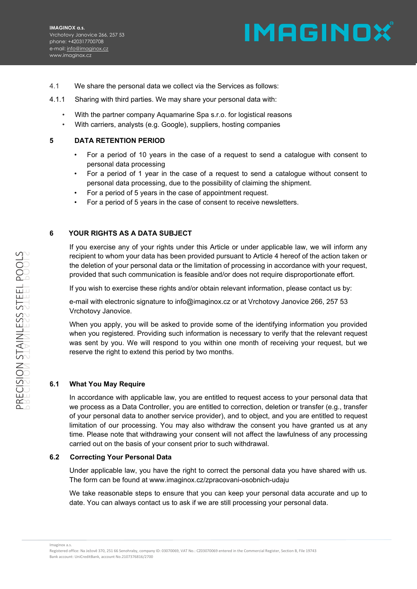

- 4.1 We share the personal data we collect via the Services as follows:
- 4.1.1 Sharing with third parties. We may share your personal data with:
	- With the partner company Aquamarine Spa s.r.o. for logistical reasons
	- With carriers, analysts (e.g. Google), suppliers, hosting companies

#### **5 DATA RETENTION PERIOD**

- For a period of 10 years in the case of a request to send a catalogue with consent to personal data processing
- For a period of 1 year in the case of a request to send a catalogue without consent to personal data processing, due to the possibility of claiming the shipment.
- For a period of 5 years in the case of appointment request.
- For a period of 5 years in the case of consent to receive newsletters.

## **6 YOUR RIGHTS AS A DATA SUBJECT**

If you exercise any of your rights under this Article or under applicable law, we will inform any recipient to whom your data has been provided pursuant to Article 4 hereof of the action taken or the deletion of your personal data or the limitation of processing in accordance with your request, provided that such communication is feasible and/or does not require disproportionate effort.

If you wish to exercise these rights and/or obtain relevant information, please contact us by:

e-mail with electronic signature to info@imaginox.cz or at Vrchotovy Janovice 266, 257 53 Vrchotovy Janovice.

When you apply, you will be asked to provide some of the identifying information you provided when you registered. Providing such information is necessary to verify that the relevant request was sent by you. We will respond to you within one month of receiving your request, but we reserve the right to extend this period by two months.

### **6.1 What You May Require**

In accordance with applicable law, you are entitled to request access to your personal data that we process as a Data Controller, you are entitled to correction, deletion or transfer (e.g., transfer of your personal data to another service provider), and to object, and you are entitled to request limitation of our processing. You may also withdraw the consent you have granted us at any time. Please note that withdrawing your consent will not affect the lawfulness of any processing carried out on the basis of your consent prior to such withdrawal.

#### **6.2 Correcting Your Personal Data**

Under applicable law, you have the right to correct the personal data you have shared with us. The form can be found at www.imaginox.cz/zpracovani-osobnich-udaju

We take reasonable steps to ensure that you can keep your personal data accurate and up to date. You can always contact us to ask if we are still processing your personal data.

Imaginox a.s.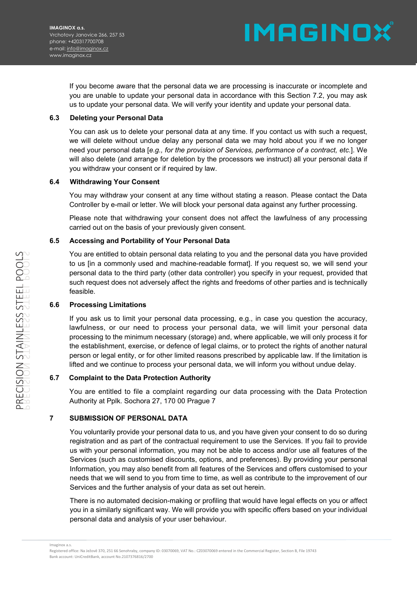**IMAGINOX** 

If you become aware that the personal data we are processing is inaccurate or incomplete and you are unable to update your personal data in accordance with this Section 7.2, you may ask us to update your personal data. We will verify your identity and update your personal data.

### **6.3 Deleting your Personal Data**

You can ask us to delete your personal data at any time. If you contact us with such a request, we will delete without undue delay any personal data we may hold about you if we no longer need your personal data [*e.g., for the provision of Services, performance of a contract, etc.*]. We will also delete (and arrange for deletion by the processors we instruct) all your personal data if you withdraw your consent or if required by law.

#### **6.4 Withdrawing Your Consent**

You may withdraw your consent at any time without stating a reason. Please contact the Data Controller by e-mail or letter. We will block your personal data against any further processing.

Please note that withdrawing your consent does not affect the lawfulness of any processing carried out on the basis of your previously given consent.

### **6.5 Accessing and Portability of Your Personal Data**

You are entitled to obtain personal data relating to you and the personal data you have provided to us [in a commonly used and machine-readable format]. If you request so, we will send your personal data to the third party (other data controller) you specify in your request, provided that such request does not adversely affect the rights and freedoms of other parties and is technically feasible.

### **6.6 Processing Limitations**

If you ask us to limit your personal data processing, e.g., in case you question the accuracy, lawfulness, or our need to process your personal data, we will limit your personal data processing to the minimum necessary (storage) and, where applicable, we will only process it for the establishment, exercise, or defence of legal claims, or to protect the rights of another natural person or legal entity, or for other limited reasons prescribed by applicable law. If the limitation is lifted and we continue to process your personal data, we will inform you without undue delay.

### **6.7 Complaint to the Data Protection Authority**

You are entitled to file a complaint regarding our data processing with the Data Protection Authority at Pplk. Sochora 27, 170 00 Prague 7

### **7 SUBMISSION OF PERSONAL DATA**

You voluntarily provide your personal data to us, and you have given your consent to do so during registration and as part of the contractual requirement to use the Services. If you fail to provide us with your personal information, you may not be able to access and/or use all features of the Services (such as customised discounts, options, and preferences). By providing your personal Information, you may also benefit from all features of the Services and offers customised to your needs that we will send to you from time to time, as well as contribute to the improvement of our Services and the further analysis of your data as set out herein.

There is no automated decision-making or profiling that would have legal effects on you or affect you in a similarly significant way. We will provide you with specific offers based on your individual personal data and analysis of your user behaviour.

Registered office: Na Ježově 370, 251 66 Senohraby, company ID: 03070069, VAT No.: CZ03070069 entered in the Commercial Register, Section B, File 19743 Bank account: UniCreditBank, account No.2107376816/2700